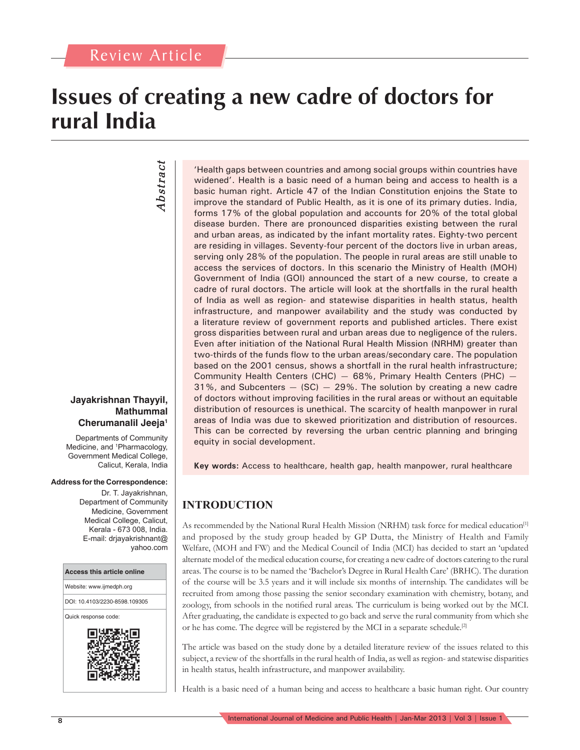# **Issues of creating a new cadre of doctors for rural India**

# *Abstract* Abstract

### **Jayakrishnan Thayyil, Mathummal Cherumanalil Jeeja1**

Departments of Community Medicine, and <sup>1</sup>Pharmacology, Government Medical College, Calicut, Kerala, India

#### **Address for the Correspondence:**

Dr. T. Jayakrishnan, Department of Community Medicine, Government Medical College, Calicut, Kerala - 673 008, India. E-mail: drjayakrishnant@ yahoo.com



'Health gaps between countries and among social groups within countries have widened'. Health is a basic need of a human being and access to health is a basic human right. Article 47 of the Indian Constitution enjoins the State to improve the standard of Public Health, as it is one of its primary duties. India, forms 17% of the global population and accounts for 20% of the total global disease burden. There are pronounced disparities existing between the rural and urban areas, as indicated by the infant mortality rates. Eighty-two percent are residing in villages. Seventy-four percent of the doctors live in urban areas, serving only 28% of the population. The people in rural areas are still unable to access the services of doctors. In this scenario the Ministry of Health (MOH) Government of India (GOI) announced the start of a new course, to create a cadre of rural doctors. The article will look at the shortfalls in the rural health of India as well as region- and statewise disparities in health status, health infrastructure, and manpower availability and the study was conducted by a literature review of government reports and published articles. There exist gross disparities between rural and urban areas due to negligence of the rulers. Even after initiation of the National Rural Health Mission (NRHM) greater than two-thirds of the funds flow to the urban areas/secondary care. The population based on the 2001 census, shows a shortfall in the rural health infrastructure; Community Health Centers (CHC)  $-$  68%, Primary Health Centers (PHC)  $31\%$ , and Subcenters  $-$  (SC)  $-$  29%. The solution by creating a new cadre of doctors without improving facilities in the rural areas or without an equitable distribution of resources is unethical. The scarcity of health manpower in rural areas of India was due to skewed prioritization and distribution of resources. This can be corrected by reversing the urban centric planning and bringing equity in social development.

**Key words:** Access to healthcare, health gap, health manpower, rural healthcare

# **INTRODUCTION**

As recommended by the National Rural Health Mission (NRHM) task force for medical education<sup>[1]</sup> and proposed by the study group headed by GP Dutta, the Ministry of Health and Family Welfare, (MOH and FW) and the Medical Council of India (MCI) has decided to start an 'updated alternate model of the medical education course, for creating a new cadre of doctors catering to the rural areas. The course is to be named the 'Bachelor's Degree in Rural Health Care' (BRHC). The duration of the course will be 3.5 years and it will include six months of internship. The candidates will be recruited from among those passing the senior secondary examination with chemistry, botany, and zoology, from schools in the notified rural areas. The curriculum is being worked out by the MCI. After graduating, the candidate is expected to go back and serve the rural community from which she or he has come. The degree will be registered by the MCI in a separate schedule.[2]

The article was based on the study done by a detailed literature review of the issues related to this subject, a review of the shortfalls in the rural health of India, as well as region- and statewise disparities in health status, health infrastructure, and manpower availability.

Health is a basic need of a human being and access to healthcare a basic human right. Our country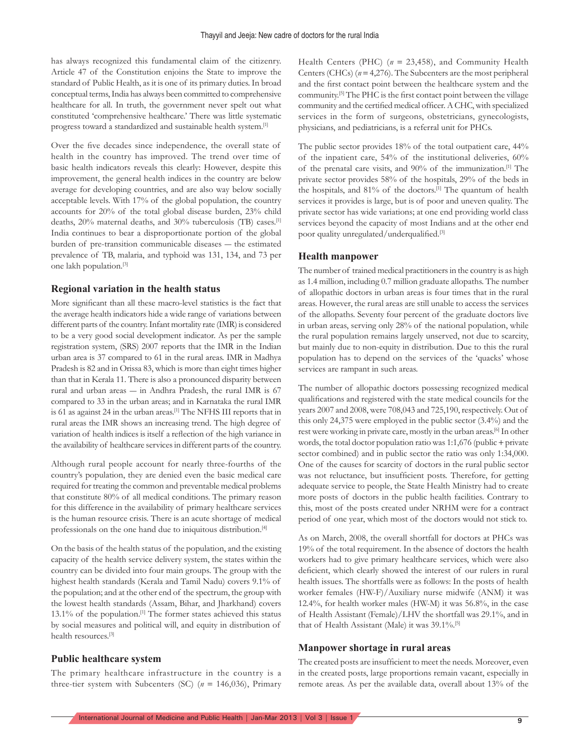has always recognized this fundamental claim of the citizenry. Article 47 of the Constitution enjoins the State to improve the standard of Public Health, as it is one of its primary duties. In broad conceptual terms, India has always been committed to comprehensive healthcare for all. In truth, the government never spelt out what constituted 'comprehensive healthcare.' There was little systematic progress toward a standardized and sustainable health system.[1]

Over the five decades since independence, the overall state of health in the country has improved. The trend over time of basic health indicators reveals this clearly: However, despite this improvement, the general health indices in the country are below average for developing countries, and are also way below socially acceptable levels. With 17% of the global population, the country accounts for 20% of the total global disease burden, 23% child deaths, 20% maternal deaths, and 30% tuberculosis (TB) cases.[1] India continues to bear a disproportionate portion of the global burden of pre-transition communicable diseases ― the estimated prevalence of TB, malaria, and typhoid was 131, 134, and 73 per one lakh population.[3]

#### **Regional variation in the health status**

More significant than all these macro-level statistics is the fact that the average health indicators hide a wide range of variations between different parts of the country. Infant mortality rate (IMR) is considered to be a very good social development indicator. As per the sample registration system, (SRS) 2007 reports that the IMR in the Indian urban area is 37 compared to 61 in the rural areas. IMR in Madhya Pradesh is 82 and in Orissa 83, which is more than eight times higher than that in Kerala 11. There is also a pronounced disparity between rural and urban areas ― in Andhra Pradesh, the rural IMR is 67 compared to 33 in the urban areas; and in Karnataka the rural IMR is 61 as against 24 in the urban areas.<sup>[1]</sup> The NFHS III reports that in rural areas the IMR shows an increasing trend. The high degree of variation of health indices is itself a reflection of the high variance in the availability of healthcare services in different parts of the country.

Although rural people account for nearly three-fourths of the country's population, they are denied even the basic medical care required for treating the common and preventable medical problems that constitute 80% of all medical conditions. The primary reason for this difference in the availability of primary healthcare services is the human resource crisis. There is an acute shortage of medical professionals on the one hand due to iniquitous distribution.[4]

On the basis of the health status of the population, and the existing capacity of the health service delivery system, the states within the country can be divided into four main groups. The group with the highest health standards (Kerala and Tamil Nadu) covers 9.1% of the population; and at the other end of the spectrum, the group with the lowest health standards (Assam, Bihar, and Jharkhand) covers 13.1% of the population.[1] The former states achieved this status by social measures and political will, and equity in distribution of health resources.[3]

#### **Public healthcare system**

The primary healthcare infrastructure in the country is a three-tier system with Subcenters (SC) (*n* = 146,036), Primary Health Centers (PHC) (*n* = 23,458), and Community Health Centers (CHCs) (*n* = 4,276). The Subcenters are the most peripheral and the first contact point between the healthcare system and the community.<sup>[5]</sup> The PHC is the first contact point between the village community and the certified medical officer. A CHC, with specialized services in the form of surgeons, obstetricians, gynecologists, physicians, and pediatricians, is a referral unit for PHCs.

The public sector provides 18% of the total outpatient care, 44% of the inpatient care, 54% of the institutional deliveries, 60% of the prenatal care visits, and 90% of the immunization.[1] The private sector provides 58% of the hospitals, 29% of the beds in the hospitals, and 81% of the doctors.[1] The quantum of health services it provides is large, but is of poor and uneven quality. The private sector has wide variations; at one end providing world class services beyond the capacity of most Indians and at the other end poor quality unregulated/underqualified.<sup>[3]</sup>

#### **Health manpower**

The number of trained medical practitioners in the country is as high as 1.4 million, including 0.7 million graduate allopaths. The number of allopathic doctors in urban areas is four times that in the rural areas. However, the rural areas are still unable to access the services of the allopaths. Seventy four percent of the graduate doctors live in urban areas, serving only 28% of the national population, while the rural population remains largely unserved, not due to scarcity, but mainly due to non-equity in distribution. Due to this the rural population has to depend on the services of the 'quacks' whose services are rampant in such areas.

The number of allopathic doctors possessing recognized medical qualifications and registered with the state medical councils for the years 2007 and 2008, were 708,043 and 725,190, respectively. Out of this only 24,375 were employed in the public sector (3.4%) and the rest were working in private care, mostly in the urban areas.[6] In other words, the total doctor population ratio was 1:1,676 (public + private sector combined) and in public sector the ratio was only 1:34,000. One of the causes for scarcity of doctors in the rural public sector was not reluctance, but insufficient posts. Therefore, for getting adequate service to people, the State Health Ministry had to create more posts of doctors in the public health facilities. Contrary to this, most of the posts created under NRHM were for a contract period of one year, which most of the doctors would not stick to.

As on March, 2008, the overall shortfall for doctors at PHCs was 19% of the total requirement. In the absence of doctors the health workers had to give primary healthcare services, which were also deficient, which clearly showed the interest of our rulers in rural health issues. The shortfalls were as follows: In the posts of health worker females (HW-F)/Auxiliary nurse midwife (ANM) it was 12.4%, for health worker males (HW-M) it was 56.8%, in the case of Health Assistant (Female)/LHV the shortfall was 29.1%, and in that of Health Assistant (Male) it was 39.1%.[5]

#### **Manpower shortage in rural areas**

The created posts are insufficient to meet the needs. Moreover, even in the created posts, large proportions remain vacant, especially in remote areas. As per the available data, overall about 13% of the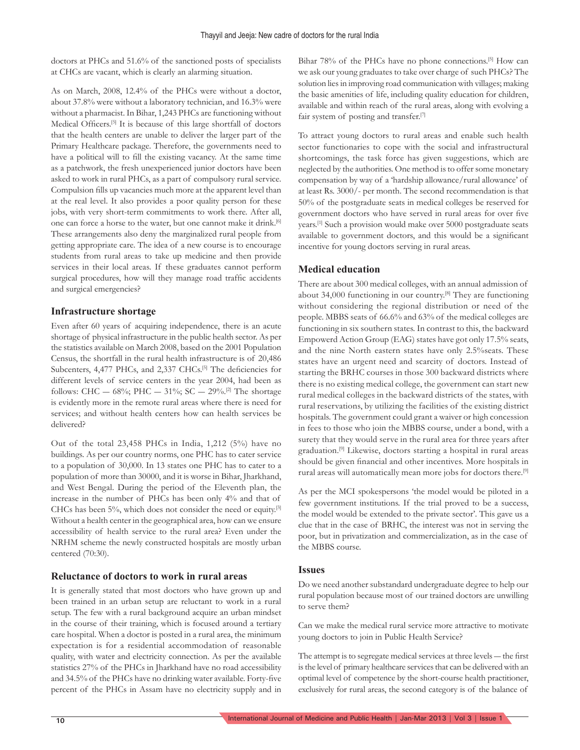doctors at PHCs and 51.6% of the sanctioned posts of specialists at CHCs are vacant, which is clearly an alarming situation.

As on March, 2008, 12.4% of the PHCs were without a doctor, about 37.8% were without a laboratory technician, and 16.3% were without a pharmacist. In Bihar, 1,243 PHCs are functioning without Medical Officers.<sup>[5]</sup> It is because of this large shortfall of doctors that the health centers are unable to deliver the larger part of the Primary Healthcare package. Therefore, the governments need to have a political will to fill the existing vacancy. At the same time as a patchwork, the fresh unexperienced junior doctors have been asked to work in rural PHCs, as a part of compulsory rural service. Compulsion fills up vacancies much more at the apparent level than at the real level. It also provides a poor quality person for these jobs, with very short-term commitments to work there. After all, one can force a horse to the water, but one cannot make it drink.[6] These arrangements also deny the marginalized rural people from getting appropriate care. The idea of a new course is to encourage students from rural areas to take up medicine and then provide services in their local areas. If these graduates cannot perform surgical procedures, how will they manage road traffic accidents and surgical emergencies?

#### **Infrastructure shortage**

Even after 60 years of acquiring independence, there is an acute shortage of physical infrastructure in the public health sector. As per the statistics available on March 2008, based on the 2001 Population Census, the shortfall in the rural health infrastructure is of 20,486 Subcenters, 4,477 PHCs, and 2,337 CHCs.<sup>[5]</sup> The deficiencies for different levels of service centers in the year 2004, had been as follows: CHC — 68%; PHC — 31%; SC — 29%.<sup>[2]</sup> The shortage is evidently more in the remote rural areas where there is need for services; and without health centers how can health services be delivered?

Out of the total 23,458 PHCs in India, 1,212 (5%) have no buildings. As per our country norms, one PHC has to cater service to a population of 30,000. In 13 states one PHC has to cater to a population of more than 30000, and it is worse in Bihar, Jharkhand, and West Bengal. During the period of the Eleventh plan, the increase in the number of PHCs has been only 4% and that of CHCs has been 5%, which does not consider the need or equity.<sup>[3]</sup> Without a health center in the geographical area, how can we ensure accessibility of health service to the rural area? Even under the NRHM scheme the newly constructed hospitals are mostly urban centered (70:30).

#### **Reluctance of doctors to work in rural areas**

It is generally stated that most doctors who have grown up and been trained in an urban setup are reluctant to work in a rural setup. The few with a rural background acquire an urban mindset in the course of their training, which is focused around a tertiary care hospital. When a doctor is posted in a rural area, the minimum expectation is for a residential accommodation of reasonable quality, with water and electricity connection. As per the available statistics 27% of the PHCs in Jharkhand have no road accessibility and 34.5% of the PHCs have no drinking water available. Forty-five percent of the PHCs in Assam have no electricity supply and in Bihar 78% of the PHCs have no phone connections.<sup>[5]</sup> How can we ask our young graduates to take over charge of such PHCs? The solution lies in improving road communication with villages; making the basic amenities of life, including quality education for children, available and within reach of the rural areas, along with evolving a fair system of posting and transfer.<sup>[7]</sup>

To attract young doctors to rural areas and enable such health sector functionaries to cope with the social and infrastructural shortcomings, the task force has given suggestions, which are neglected by the authorities. One method is to offer some monetary compensation by way of a 'hardship allowance/rural allowance' of at least Rs. 3000/- per month. The second recommendation is that 50% of the postgraduate seats in medical colleges be reserved for government doctors who have served in rural areas for over five years.[1] Such a provision would make over 5000 postgraduate seats available to government doctors, and this would be a significant incentive for young doctors serving in rural areas.

#### **Medical education**

There are about 300 medical colleges, with an annual admission of about 34,000 functioning in our country.[8] They are functioning without considering the regional distribution or need of the people. MBBS seats of 66.6% and 63% of the medical colleges are functioning in six southern states. In contrast to this, the backward Empowerd Action Group (EAG) states have got only 17.5% seats, and the nine North eastern states have only 2.5%seats. These states have an urgent need and scarcity of doctors. Instead of starting the BRHC courses in those 300 backward districts where there is no existing medical college, the government can start new rural medical colleges in the backward districts of the states, with rural reservations, by utilizing the facilities of the existing district hospitals. The government could grant a waiver or high concession in fees to those who join the MBBS course, under a bond, with a surety that they would serve in the rural area for three years after graduation.[9] Likewise, doctors starting a hospital in rural areas should be given financial and other incentives. More hospitals in rural areas will automatically mean more jobs for doctors there.[9]

As per the MCI spokespersons 'the model would be piloted in a few government institutions. If the trial proved to be a success, the model would be extended to the private sector'. This gave us a clue that in the case of BRHC, the interest was not in serving the poor, but in privatization and commercialization, as in the case of the MBBS course.

#### **Issues**

Do we need another substandard undergraduate degree to help our rural population because most of our trained doctors are unwilling to serve them?

Can we make the medical rural service more attractive to motivate young doctors to join in Public Health Service?

The attempt is to segregate medical services at three levels — the first is the level of primary healthcare services that can be delivered with an optimal level of competence by the short-course health practitioner, exclusively for rural areas, the second category is of the balance of